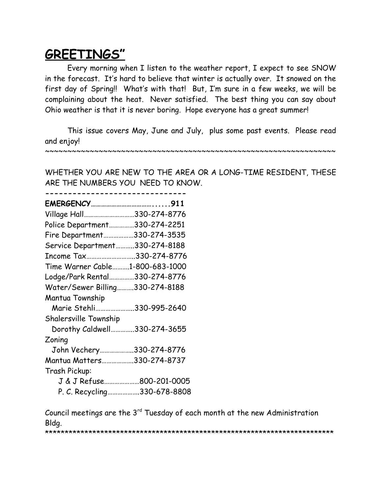# **GREETINGS"**

Every morning when I listen to the weather report, I expect to see SNOW in the forecast. It's hard to believe that winter is actually over. It snowed on the first day of Spring!! What's with that! But, I'm sure in a few weeks, we will be complaining about the heat. Never satisfied. The best thing you can say about Ohio weather is that it is never boring. Hope everyone has a great summer!

This issue covers May, June and July, plus some past events. Please read and enjoy!

~~~~~~~~~~~~~~~~~~~~~~~~~~~~~~~~~~~~~~~~~~~~~~~~~~~~~~~~~~~~~~~~~

WHETHER YOU ARE NEW TO THE AREA OR A LONG-TIME RESIDENT, THESE ARE THE NUMBERS YOU NEED TO KNOW.

| Village Hall330-274-8776        |                             |
|---------------------------------|-----------------------------|
| Police Department330-274-2251   |                             |
| Fire Department330-274-3535     |                             |
| Service Department330-274-8188  |                             |
| Income Tax330-274-8776          |                             |
| Time Warner Cable1-800-683-1000 |                             |
| Lodge/Park Rental330-274-8776   |                             |
| Water/Sewer Billing330-274-8188 |                             |
| Mantua Township                 |                             |
| Marie Stehli330-995-2640        |                             |
| <b>Shalersville Township</b>    |                             |
| Dorothy Caldwell330-274-3655    |                             |
| Zoning                          |                             |
| John Vechery330-274-8776        |                             |
| Mantua Matters330-274-8737      |                             |
| Trash Pickup:                   |                             |
|                                 | J & J Refuse800-201-0005    |
|                                 | P. C. Recycling330-678-8808 |

**-------------------------------**

Council meetings are the  $3<sup>rd</sup>$  Tuesday of each month at the new Administration Bldg.

\*\*\*\*\*\*\*\*\*\*\*\*\*\*\*\*\*\*\*\*\*\*\*\*\*\*\*\*\*\*\*\*\*\*\*\*\*\*\*\*\*\*\*\*\*\*\*\*\*\*\*\*\*\*\*\*\*\*\*\*\*\*\*\*\*\*\*\*\*\*\*\*\*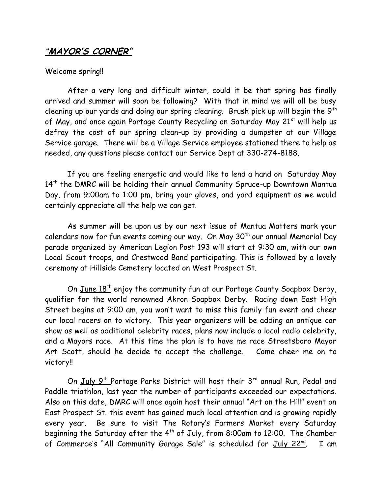### **"MAYOR'S CORNER"**

#### Welcome spring!

After a very long and difficult winter, could it be that spring has finally arrived and summer will soon be following? With that in mind we will all be busy cleaning up our yards and doing our spring cleaning. Brush pick up will begin the  $9<sup>th</sup>$ of May, and once again Portage County Recycling on Saturday May 21<sup>st</sup> will help us defray the cost of our spring clean-up by providing a dumpster at our Village Service garage. There will be a Village Service employee stationed there to help as needed, any questions please contact our Service Dept at 330-274-8188.

If you are feeling energetic and would like to lend a hand on Saturday May 14<sup>th</sup> the DMRC will be holding their annual Community Spruce-up Downtown Mantua Day, from 9:00am to 1:00 pm, bring your gloves, and yard equipment as we would certainly appreciate all the help we can get.

As summer will be upon us by our next issue of Mantua Matters mark your calendars now for fun events coming our way. On May  $30<sup>th</sup>$  our annual Memorial Day parade organized by American Legion Post 193 will start at 9:30 am, with our own Local Scout troops, and Crestwood Band participating. This is followed by a lovely ceremony at Hillside Cemetery located on West Prospect St.

On <u>June 18th</u> enjoy the community fun at our Portage County Soapbox Derby, qualifier for the world renowned Akron Soapbox Derby. Racing down East High Street begins at 9:00 am, you won't want to miss this family fun event and cheer our local racers on to victory. This year organizers will be adding an antique car show as well as additional celebrity races, plans now include a local radio celebrity, and a Mayors race. At this time the plan is to have me race Streetsboro Mayor Art Scott, should he decide to accept the challenge. Come cheer me on to victory!!

On <u>July 9<sup>th</sup> Portage Parks District will host their 3<sup>rd</sup> annual Run, Pedal and</u> Paddle triathlon, last year the number of participants exceeded our expectations. Also on this date, DMRC will once again host their annual "Art on the Hill" event on East Prospect St. this event has gained much local attention and is growing rapidly every year. Be sure to visit The Rotary's Farmers Market every Saturday beginning the Saturday after the  $4<sup>th</sup>$  of July, from 8:00am to 12:00. The Chamber of Commerce's "All Community Garage Sale" is scheduled for July  $22^{nd}$ . . I am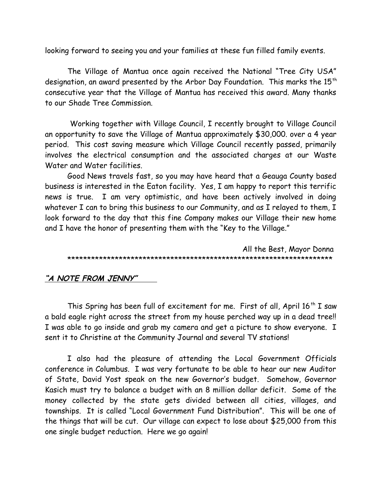looking forward to seeing you and your families at these fun filled family events.

The Village of Mantua once again received the National "Tree City USA" designation, an award presented by the Arbor Day Foundation. This marks the 15<sup>th</sup> consecutive year that the Village of Mantua has received this award. Many thanks to our Shade Tree Commission.

 Working together with Village Council, I recently brought to Village Council an opportunity to save the Village of Mantua approximately \$30,000. over a 4 year period. This cost saving measure which Village Council recently passed, primarily involves the electrical consumption and the associated charges at our Waste Water and Water facilities.

Good News travels fast, so you may have heard that a Geauga County based business is interested in the Eaton facility. Yes, I am happy to report this terrific news is true. I am very optimistic, and have been actively involved in doing whatever I can to bring this business to our Community, and as I relayed to them, I look forward to the day that this fine Company makes our Village their new home and I have the honor of presenting them with the "Key to the Village."

 All the Best, Mayor Donna \*\*\*\*\*\*\*\*\*\*\*\*\*\*\*\*\*\*\*\*\*\*\*\*\*\*\*\*\*\*\*\*\*\*\*\*\*\*\*\*\*\*\*\*\*\*\*\*\*\*\*\*\*\*\*\*\*\*\*\*\*\*\*\*\*\*\*

### **"A NOTE FROM JENNY"**

This Spring has been full of excitement for me. First of all, April  $16<sup>th</sup>$  I saw a bald eagle right across the street from my house perched way up in a dead tree!! I was able to go inside and grab my camera and get a picture to show everyone. I sent it to Christine at the Community Journal and several TV stations!

I also had the pleasure of attending the Local Government Officials conference in Columbus. I was very fortunate to be able to hear our new Auditor of State, David Yost speak on the new Governor's budget. Somehow, Governor Kasich must try to balance a budget with an 8 million dollar deficit. Some of the money collected by the state gets divided between all cities, villages, and townships. It is called "Local Government Fund Distribution". This will be one of the things that will be cut. Our village can expect to lose about \$25,000 from this one single budget reduction. Here we go again!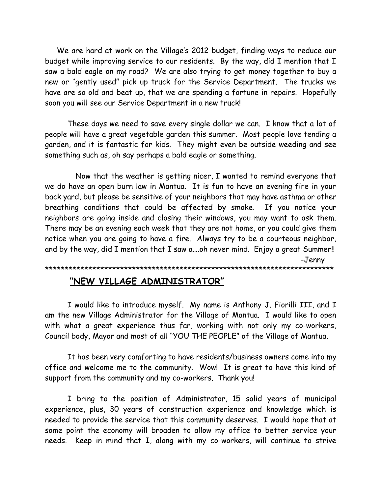We are hard at work on the Village's 2012 budget, finding ways to reduce our budget while improving service to our residents. By the way, did I mention that I saw a bald eagle on my road? We are also trying to get money together to buy a new or "gently used" pick up truck for the Service Department. The trucks we have are so old and beat up, that we are spending a fortune in repairs. Hopefully soon you will see our Service Department in a new truck!

These days we need to save every single dollar we can. I know that a lot of people will have a great vegetable garden this summer. Most people love tending a garden, and it is fantastic for kids. They might even be outside weeding and see something such as, oh say perhaps a bald eagle or something.

 Now that the weather is getting nicer, I wanted to remind everyone that we do have an open burn law in Mantua. It is fun to have an evening fire in your back yard, but please be sensitive of your neighbors that may have asthma or other breathing conditions that could be affected by smoke. If you notice your neighbors are going inside and closing their windows, you may want to ask them. There may be an evening each week that they are not home, or you could give them notice when you are going to have a fire. Always try to be a courteous neighbor, and by the way, did I mention that I saw a....oh never mind. Enjoy a great Summer!! -Jenny

\*\*\*\*\*\*\*\*\*\*\*\*\*\*\*\*\*\*\*\*\*\*\*\*\*\*\*\*\*\*\*\*\*\*\*\*\*\*\*\*\*\*\*\*\*\*\*\*\*\*\*\*\*\*\*\*\*\*\*\*\*\*\*\*\*\*\*\*\*\*\*\*\*

#### **"NEW VILLAGE ADMINISTRATOR"**

I would like to introduce myself. My name is Anthony J. Fiorilli III, and I am the new Village Administrator for the Village of Mantua. I would like to open with what a great experience thus far, working with not only my co-workers, Council body, Mayor and most of all "YOU THE PEOPLE" of the Village of Mantua.

It has been very comforting to have residents/business owners come into my office and welcome me to the community. Wow! It is great to have this kind of support from the community and my co-workers. Thank you!

I bring to the position of Administrator, 15 solid years of municipal experience, plus, 30 years of construction experience and knowledge which is needed to provide the service that this community deserves. I would hope that at some point the economy will broaden to allow my office to better service your needs. Keep in mind that I, along with my co-workers, will continue to strive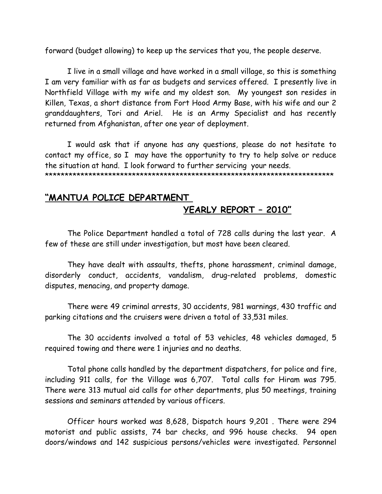forward (budget allowing) to keep up the services that you, the people deserve.

I live in a small village and have worked in a small village, so this is something I am very familiar with as far as budgets and services offered. I presently live in Northfield Village with my wife and my oldest son. My youngest son resides in Killen, Texas, a short distance from Fort Hood Army Base, with his wife and our 2 granddaughters, Tori and Ariel. He is an Army Specialist and has recently returned from Afghanistan, after one year of deployment.

I would ask that if anyone has any questions, please do not hesitate to contact my office, so I may have the opportunity to try to help solve or reduce the situation at hand. I look forward to further servicing your needs.

\*\*\*\*\*\*\*\*\*\*\*\*\*\*\*\*\*\*\*\*\*\*\*\*\*\*\*\*\*\*\*\*\*\*\*\*\*\*\*\*\*\*\*\*\*\*\*\*\*\*\*\*\*\*\*\*\*\*\*\*\*\*\*\*\*\*\*\*\*\*\*\*\*

# **"MANTUA POLICE DEPARTMENT YEARLY REPORT – 2010"**

The Police Department handled a total of 728 calls during the last year. A few of these are still under investigation, but most have been cleared.

They have dealt with assaults, thefts, phone harassment, criminal damage, disorderly conduct, accidents, vandalism, drug-related problems, domestic disputes, menacing, and property damage.

There were 49 criminal arrests, 30 accidents, 981 warnings, 430 traffic and parking citations and the cruisers were driven a total of 33,531 miles.

The 30 accidents involved a total of 53 vehicles, 48 vehicles damaged, 5 required towing and there were 1 injuries and no deaths.

Total phone calls handled by the department dispatchers, for police and fire, including 911 calls, for the Village was 6,707. Total calls for Hiram was 795. There were 313 mutual aid calls for other departments, plus 50 meetings, training sessions and seminars attended by various officers.

Officer hours worked was 8,628, Dispatch hours 9,201 . There were 294 motorist and public assists, 74 bar checks, and 996 house checks. 94 open doors/windows and 142 suspicious persons/vehicles were investigated. Personnel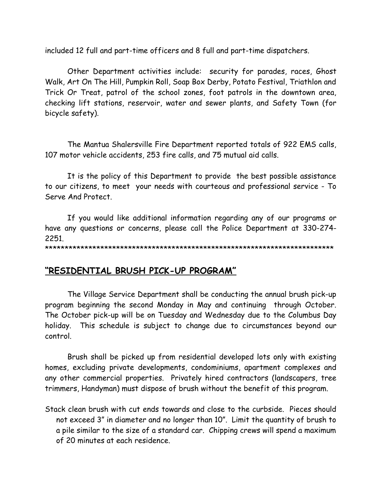included 12 full and part-time officers and 8 full and part-time dispatchers.

Other Department activities include: security for parades, races, Ghost Walk, Art On The Hill, Pumpkin Roll, Soap Box Derby, Potato Festival, Triathlon and Trick Or Treat, patrol of the school zones, foot patrols in the downtown area, checking lift stations, reservoir, water and sewer plants, and Safety Town (for bicycle safety).

The Mantua Shalersville Fire Department reported totals of 922 EMS calls, 107 motor vehicle accidents, 253 fire calls, and 75 mutual aid calls.

It is the policy of this Department to provide the best possible assistance to our citizens, to meet your needs with courteous and professional service - To Serve And Protect.

If you would like additional information regarding any of our programs or have any questions or concerns, please call the Police Department at 330-274- 2251.

\*\*\*\*\*\*\*\*\*\*\*\*\*\*\*\*\*\*\*\*\*\*\*\*\*\*\*\*\*\*\*\*\*\*\*\*\*\*\*\*\*\*\*\*\*\*\*\*\*\*\*\*\*\*\*\*\*\*\*\*\*\*\*\*\*\*\*\*\*\*\*\*\*

# **"RESIDENTIAL BRUSH PICK-UP PROGRAM"**

The Village Service Department shall be conducting the annual brush pick-up program beginning the second Monday in May and continuing through October. The October pick-up will be on Tuesday and Wednesday due to the Columbus Day holiday. This schedule is subject to change due to circumstances beyond our control.

Brush shall be picked up from residential developed lots only with existing homes, excluding private developments, condominiums, apartment complexes and any other commercial properties. Privately hired contractors (landscapers, tree trimmers, Handyman) must dispose of brush without the benefit of this program.

Stack clean brush with cut ends towards and close to the curbside. Pieces should not exceed 3" in diameter and no longer than 10". Limit the quantity of brush to a pile similar to the size of a standard car. Chipping crews will spend a maximum of 20 minutes at each residence.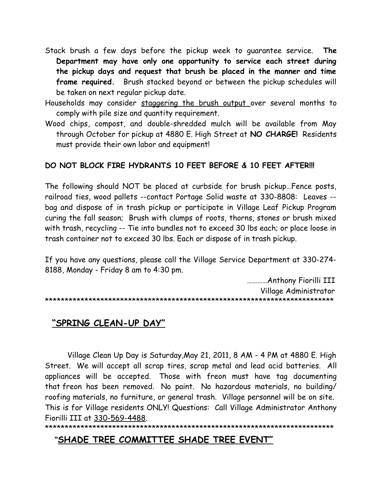- Stack brush a few days before the pickup week to guarantee service. **The Department may have only one opportunity to service each street during the pickup days and request that brush be placed in the manner and time frame required.** Brush stacked beyond or between the pickup schedules will be taken on next regular pickup date.
- Households may consider staggering the brush output over several months to comply with pile size and quantity requirement.
- Wood chips, compost, and double-shredded mulch will be available from May through October for pickup at 4880 E. High Street at **NO CHARGE!** Residents must provide their own labor and equipment!

### **DO NOT BLOCK FIRE HYDRANTS 10 FEET BEFORE & 10 FEET AFTER!!!**

The following should NOT be placed at curbside for brush pickup…Fence posts, railroad ties, wood pallets --contact Portage Solid waste at 330-8808: Leaves - bag and dispose of in trash pickup or participate in Village Leaf Pickup Program curing the fall season; Brush with clumps of roots, thorns, stones or brush mixed with trash, recycling -- Tie into bundles not to exceed 30 lbs each; or place loose in trash container not to exceed 30 lbs. Each or dispose of in trash pickup.

If you have any questions, please call the Village Service Department at 330-274- 8188, Monday - Friday 8 am to 4:30 pm.

…………Anthony Fiorilli III Village Administrator \*\*\*\*\*\*\*\*\*\*\*\*\*\*\*\*\*\*\*\*\*\*\*\*\*\*\*\*\*\*\*\*\*\*\*\*\*\*\*\*\*\*\*\*\*\*\*\*\*\*\*\*\*\*\*\*\*\*\*\*\*\*\*\*\*\*\*\*\*\*\*\*\*

# **"SPRING CLEAN-UP DAY"**

Village Clean Up Day is Saturday,May 21, 2011, 8 AM - 4 PM at 4880 E. High Street. We will accept all scrap tires, scrap metal and lead acid batteries. All appliances will be accepted. Those with freon must have tag documenting that freon has been removed. No paint. No hazardous materials, no building/ roofing materials, no furniture, or general trash. Village personnel will be on site. This is for Village residents ONLY! Questions: Call Village Administrator Anthony Fiorilli III at [330-569-4488.](tel:330-569-4488)

\*\*\*\*\*\*\*\*\*\*\*\*\*\*\*\*\*\*\*\*\*\*\*\*\*\*\*\*\*\*\*\*\*\*\*\*\*\*\*\*\*\*\*\*\*\*\*\*\*\*\*\*\*\*\*\*\*\*\*\*\*\*\*\*\*\*\*\*\*\*\*\*\*

# **"SHADE TREE COMMITTEE SHADE TREE EVENT"**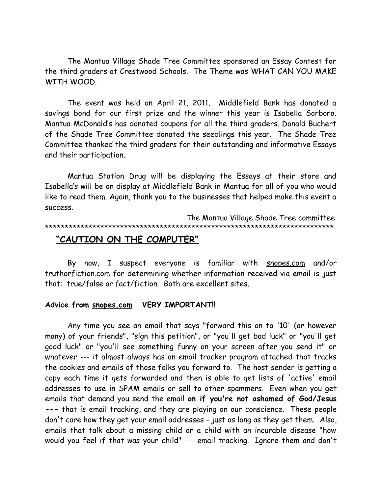The Mantua Village Shade Tree Committee sponsored an Essay Contest for the third graders at Crestwood Schools. The Theme was WHAT CAN YOU MAKE WITH WOOD.

The event was held on April 21, 2011. Middlefield Bank has donated a savings bond for our first prize and the winner this year is Isabella Sorboro. Mantua McDonald's has donated coupons for all the third graders. Donald Buchert of the Shade Tree Committee donated the seedlings this year. The Shade Tree Committee thanked the third graders for their outstanding and informative Essays and their participation.

Mantua Station Drug will be displaying the Essays at their store and Isabella's will be on display at Middlefield Bank in Mantua for all of you who would like to read them. Again, thank you to the businesses that helped make this event a success.

 The Mantua Village Shade Tree committee \*\*\*\*\*\*\*\*\*\*\*\*\*\*\*\*\*\*\*\*\*\*\*\*\*\*\*\*\*\*\*\*\*\*\*\*\*\*\*\*\*\*\*\*\*\*\*\*\*\*\*\*\*\*\*\*\*\*\*\*\*\*\*\*\*\*\*\*\*\*\*\*\*

# **"CAUTION ON THE COMPUTER"**

By now, I suspect everyone is familiar with [snopes.com](http://snopes.com/) and/or [truthorfiction.com](http://truthorfiction.com/) for determining whether information received via email is just that: true/false or fact/fiction. Both are excellent sites.

#### **Advice from [snopes.com](http://snopes.com/) VERY IMPORTANT!!**

Any time you see an email that says "forward this on to '10' (or however many) of your friends", "sign this petition", or "you'll get bad luck" or "you'll get good luck" or "you'll see something funny on your screen after you send it" or whatever --- it almost always has an email tracker program attached that tracks the cookies and emails of those folks you forward to. The host sender is getting a copy each time it gets forwarded and then is able to get lists of 'active' email addresses to use in SPAM emails or sell to other spammers. Even when you get emails that demand you send the email **on if you're not ashamed of God/Jesus ---** that is email tracking, and they are playing on our conscience. These people don't care how they get your email addresses - just as long as they get them. Also, emails that talk about a missing child or a child with an incurable disease "how would you feel if that was your child" --- email tracking. Ignore them and don't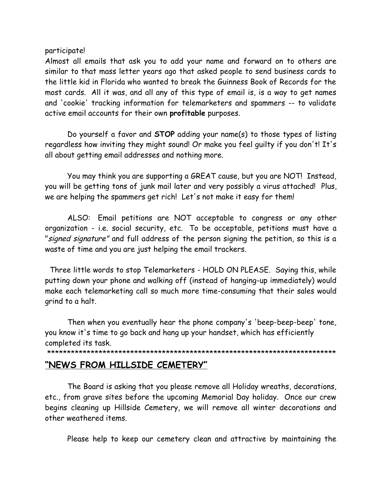participate!

Almost all emails that ask you to add your name and forward on to others are similar to that mass letter years ago that asked people to send business cards to the little kid in Florida who wanted to break the Guinness Book of Records for the most cards. All it was, and all any of this type of email is, is a way to get names and 'cookie' tracking information for telemarketers and spammers -- to validate active email accounts for their own **profitable** purposes.

Do yourself a favor and **STOP** adding your name(s) to those types of listing regardless how inviting they might sound! Or make you feel guilty if you don't! It's all about getting email addresses and nothing more.

You may think you are supporting a GREAT cause, but you are NOT! Instead, you will be getting tons of junk mail later and very possibly a virus attached! Plus, we are helping the spammers get rich! Let's not make it easy for them!

ALSO: Email petitions are NOT acceptable to congress or any other organization - i.e. social security, etc. To be acceptable, petitions must have a "signed signature" and full address of the person signing the petition, so this is a waste of time and you are just helping the email trackers.

 Three little words to stop Telemarketers - HOLD ON PLEASE. Saying this, while putting down your phone and walking off (instead of hanging-up immediately) would make each telemarketing call so much more time-consuming that their sales would grind to a halt.

Then when you eventually hear the phone company's 'beep-beep-beep' tone, you know it's time to go back and hang up your handset, which has efficiently completed its task.

\*\*\*\*\*\*\*\*\*\*\*\*\*\*\*\*\*\*\*\*\*\*\*\*\*\*\*\*\*\*\*\*\*\*\*\*\*\*\*\*\*\*\*\*\*\*\*\*\*\*\*\*\*\*\*\*\*\*\*\*\*\*\*\*\*\*\*\*\*\*\*\*\*

# **"NEWS FROM HILLSIDE CEMETERY"**

The Board is asking that you please remove all Holiday wreaths, decorations, etc., from grave sites before the upcoming Memorial Day holiday. Once our crew begins cleaning up Hillside Cemetery, we will remove all winter decorations and other weathered items.

Please help to keep our cemetery clean and attractive by maintaining the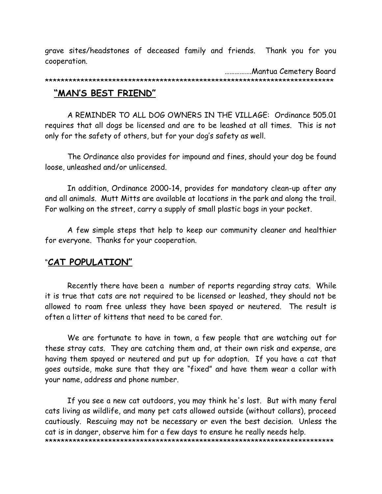grave sites/headstones of deceased family and friends. Thank you for you cooperation.

…………….Mantua Cemetery Board \*\*\*\*\*\*\*\*\*\*\*\*\*\*\*\*\*\*\*\*\*\*\*\*\*\*\*\*\*\*\*\*\*\*\*\*\*\*\*\*\*\*\*\*\*\*\*\*\*\*\*\*\*\*\*\*\*\*\*\*\*\*\*\*\*\*\*\*\*\*\*\*\* **"MAN'S BEST FRIEND"**

A REMINDER TO ALL DOG OWNERS IN THE VILLAGE: Ordinance 505.01 requires that all dogs be licensed and are to be leashed at all times. This is not only for the safety of others, but for your dog's safety as well.

The Ordinance also provides for impound and fines, should your dog be found loose, unleashed and/or unlicensed.

In addition, Ordinance 2000-14, provides for mandatory clean-up after any and all animals. Mutt Mitts are available at locations in the park and along the trail. For walking on the street, carry a supply of small plastic bags in your pocket.

A few simple steps that help to keep our community cleaner and healthier for everyone. Thanks for your cooperation.

#### "**CAT POPULATION"**

Recently there have been a number of reports regarding stray cats. While it is true that cats are not required to be licensed or leashed, they should not be allowed to roam free unless they have been spayed or neutered. The result is often a litter of kittens that need to be cared for.

We are fortunate to have in town, a few people that are watching out for these stray cats. They are catching them and, at their own risk and expense, are having them spayed or neutered and put up for adoption. If you have a cat that goes outside, make sure that they are "fixed" and have them wear a collar with your name, address and phone number.

 If you see a new cat outdoors, you may think he's lost. But with many feral cats living as wildlife, and many pet cats allowed outside (without collars), proceed cautiously. Rescuing may not be necessary or even the best decision. Unless the cat is in danger, observe him for a few days to ensure he really needs help. \*\*\*\*\*\*\*\*\*\*\*\*\*\*\*\*\*\*\*\*\*\*\*\*\*\*\*\*\*\*\*\*\*\*\*\*\*\*\*\*\*\*\*\*\*\*\*\*\*\*\*\*\*\*\*\*\*\*\*\*\*\*\*\*\*\*\*\*\*\*\*\*\*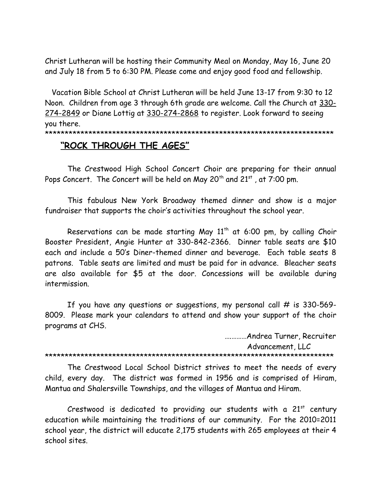Christ Lutheran will be hosting their Community Meal on Monday, May 16, June 20 and July 18 from 5 to 6:30 PM. Please come and enjoy good food and fellowship.

 Vacation Bible School at Christ Lutheran will be held June 13-17 from 9:30 to 12 Noon. Children from age 3 through 6th grade are welcome. Call the Church at [330-](tel:330-274-2849) [274-2849](tel:330-274-2849) or Diane Lottig at [330-274-2868](tel:330-274-2868) to register. Look forward to seeing you there. \*\*\*\*\*\*\*\*\*\*\*\*\*\*\*\*\*\*\*\*\*\*\*\*\*\*\*\*\*\*\*\*\*\*\*\*\*\*\*\*\*\*\*\*\*\*\*\*\*\*\*\*\*\*\*\*\*\*\*\*\*\*\*\*\*\*\*\*\*\*\*\*\*

### **"ROCK THROUGH THE AGES"**

The Crestwood High School Concert Choir are preparing for their annual Pops Concert. The Concert will be held on May  $20^{th}$  and  $21^{st}$ , at 7:00 pm.

This fabulous New York Broadway themed dinner and show is a major fundraiser that supports the choir's activities throughout the school year.

Reservations can be made starting May  $11<sup>th</sup>$  at 6:00 pm, by calling Choir Booster President, Angie Hunter at 330-842-2366. Dinner table seats are \$10 each and include a 50's Diner-themed dinner and beverage. Each table seats 8 patrons. Table seats are limited and must be paid for in advance. Bleacher seats are also available for \$5 at the door. Concessions will be available during intermission.

If you have any questions or suggestions, my personal call  $#$  is 330-569-8009. Please mark your calendars to attend and show your support of the choir programs at CHS.

….………Andrea Turner, Recruiter

Advancement, LLC

\*\*\*\*\*\*\*\*\*\*\*\*\*\*\*\*\*\*\*\*\*\*\*\*\*\*\*\*\*\*\*\*\*\*\*\*\*\*\*\*\*\*\*\*\*\*\*\*\*\*\*\*\*\*\*\*\*\*\*\*\*\*\*\*\*\*\*\*\*\*\*\*\*

The Crestwood Local School District strives to meet the needs of every child, every day. The district was formed in 1956 and is comprised of Hiram, Mantua and Shalersville Townships, and the villages of Mantua and Hiram.

Crestwood is dedicated to providing our students with a  $21<sup>st</sup>$  century education while maintaining the traditions of our community. For the 2010=2011 school year, the district will educate 2,175 students with 265 employees at their 4 school sites.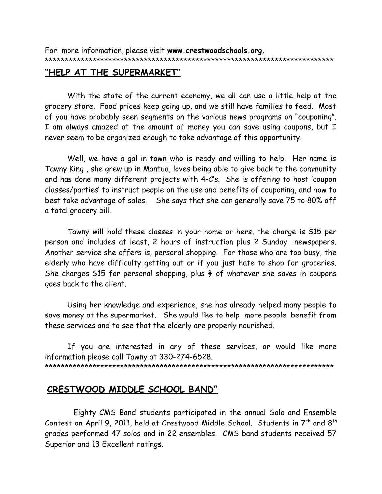For more information, please visit **[www.crestwoodschools.org.](http://www.crestwoodschools.org/)** \*\*\*\*\*\*\*\*\*\*\*\*\*\*\*\*\*\*\*\*\*\*\*\*\*\*\*\*\*\*\*\*\*\*\*\*\*\*\*\*\*\*\*\*\*\*\*\*\*\*\*\*\*\*\*\*\*\*\*\*\*\*\*\*\*\*\*\*\*\*\*\*\*

#### **"HELP AT THE SUPERMARKET"**

With the state of the current economy, we all can use a little help at the grocery store. Food prices keep going up, and we still have families to feed. Most of you have probably seen segments on the various news programs on "couponing". I am always amazed at the amount of money you can save using coupons, but I never seem to be organized enough to take advantage of this opportunity.

Well, we have a gal in town who is ready and willing to help. Her name is Tawny King , she grew up in Mantua, loves being able to give back to the community and has done many different projects with 4-C's. She is offering to host 'coupon classes/parties' to instruct people on the use and benefits of couponing, and how to best take advantage of sales. She says that she can generally save 75 to 80% off a total grocery bill.

Tawny will hold these classes in your home or hers, the charge is \$15 per person and includes at least, 2 hours of instruction plus 2 Sunday newspapers. Another service she offers is, personal shopping. For those who are too busy, the elderly who have difficulty getting out or if you just hate to shop for groceries. She charges \$15 for personal shopping, plus  $\frac{1}{2}$  of whatever she saves in coupons goes back to the client.

Using her knowledge and experience, she has already helped many people to save money at the supermarket. She would like to help more people benefit from these services and to see that the elderly are properly nourished.

If you are interested in any of these services, or would like more information please call Tawny at 330-274-6528. \*\*\*\*\*\*\*\*\*\*\*\*\*\*\*\*\*\*\*\*\*\*\*\*\*\*\*\*\*\*\*\*\*\*\*\*\*\*\*\*\*\*\*\*\*\*\*\*\*\*\*\*\*\*\*\*\*\*\*\*\*\*\*\*\*\*\*\*\*\*\*\*\*

### **CRESTWOOD MIDDLE SCHOOL BAND"**

Eighty CMS Band students participated in the annual Solo and Ensemble Contest on April 9, 2011, held at Crestwood Middle School. Students in  $7<sup>th</sup>$  and  $8<sup>th</sup>$ grades performed 47 solos and in 22 ensembles. CMS band students received 57 Superior and 13 Excellent ratings.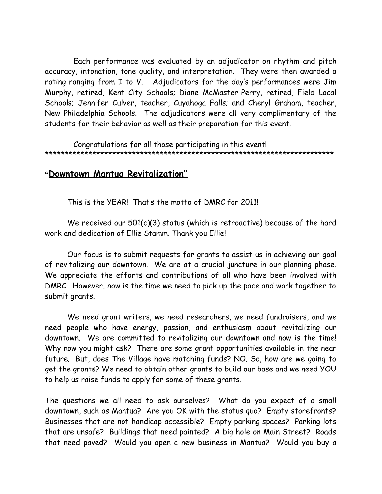Each performance was evaluated by an adjudicator on rhythm and pitch accuracy, intonation, tone quality, and interpretation. They were then awarded a rating ranging from I to V. Adjudicators for the day's performances were Jim Murphy, retired, Kent City Schools; Diane McMaster-Perry, retired, Field Local Schools; Jennifer Culver, teacher, Cuyahoga Falls; and Cheryl Graham, teacher, New Philadelphia Schools. The adjudicators were all very complimentary of the students for their behavior as well as their preparation for this event.

Congratulations for all those participating in this event! \*\*\*\*\*\*\*\*\*\*\*\*\*\*\*\*\*\*\*\*\*\*\*\*\*\*\*\*\*\*\*\*\*\*\*\*\*\*\*\*\*\*\*\*\*\*\*\*\*\*\*\*\*\*\*\*\*\*\*\*\*\*\*\*\*\*\*\*\*\*\*\*\*

# **"Downtown Mantua Revitalization"**

This is the YEAR! That's the motto of DMRC for 2011!

We received our 501(c)(3) status (which is retroactive) because of the hard work and dedication of Ellie Stamm. Thank you Ellie!

Our focus is to submit requests for grants to assist us in achieving our goal of revitalizing our downtown. We are at a crucial juncture in our planning phase. We appreciate the efforts and contributions of all who have been involved with DMRC. However, now is the time we need to pick up the pace and work together to submit grants.

We need grant writers, we need researchers, we need fundraisers, and we need people who have energy, passion, and enthusiasm about revitalizing our downtown. We are committed to revitalizing our downtown and now is the time! Why now you might ask? There are some grant opportunities available in the near future. But, does The Village have matching funds? NO. So, how are we going to get the grants? We need to obtain other grants to build our base and we need YOU to help us raise funds to apply for some of these grants.

The questions we all need to ask ourselves? What do you expect of a small downtown, such as Mantua? Are you OK with the status quo? Empty storefronts? Businesses that are not handicap accessible? Empty parking spaces? Parking lots that are unsafe? Buildings that need painted? A big hole on Main Street? Roads that need paved? Would you open a new business in Mantua? Would you buy a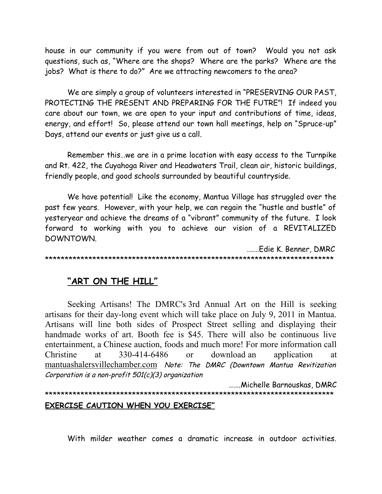house in our community if you were from out of town? Would you not ask questions, such as, "Where are the shops? Where are the parks? Where are the jobs? What is there to do?" Are we attracting newcomers to the area?

We are simply a group of volunteers interested in "PRESERVING OUR PAST, PROTECTING THE PRESENT AND PREPARING FOR THE FUTRE"! If indeed you care about our town, we are open to your input and contributions of time, ideas, energy, and effort! So, please attend our town hall meetings, help on "Spruce-up" Days, attend our events or just give us a call.

Remember this…we are in a prime location with easy access to the Turnpike and Rt. 422, the Cuyahoga River and Headwaters Trail, clean air, historic buildings, friendly people, and good schools surrounded by beautiful countryside.

We have potential! Like the economy, Mantua Village has struggled over the past few years. However, with your help, we can regain the "hustle and bustle" of yesteryear and achieve the dreams of a "vibrant" community of the future. I look forward to working with you to achieve our vision of a REVITALIZED DOWNTOWN.

.……Edie K. Benner, DMRC \*\*\*\*\*\*\*\*\*\*\*\*\*\*\*\*\*\*\*\*\*\*\*\*\*\*\*\*\*\*\*\*\*\*\*\*\*\*\*\*\*\*\*\*\*\*\*\*\*\*\*\*\*\*\*\*\*\*\*\*\*\*\*\*\*\*\*\*\*\*\*\*\*

# **"ART ON THE HILL"**

Seeking Artisans! The DMRC's 3rd Annual Art on the Hill is seeking artisans for their day-long event which will take place on July 9, 2011 in Mantua. Artisans will line both sides of Prospect Street selling and displaying their handmade works of art. Booth fee is \$45. There will also be continuous live entertainment, a Chinese auction, foods and much more! For more information call Christine at 330-414-6486 or download an application at [mantuashalersvillechamber.com](http://mantuashalersvillechamber.com/) Note: The DMRC (Downtown Mantua Revitization Corporation is a non-profit 501(c)(3) organization

 …….Michelle Barnouskas, DMRC \*\*\*\*\*\*\*\*\*\*\*\*\*\*\*\*\*\*\*\*\*\*\*\*\*\*\*\*\*\*\*\*\*\*\*\*\*\*\*\*\*\*\*\*\*\*\*\*\*\*\*\*\*\*\*\*\*\*\*\*\*\*\*\*\*\*\*\*\*\*\*\*\* **EXERCISE CAUTION WHEN YOU EXERCISE"**

With milder weather comes a dramatic increase in outdoor activities.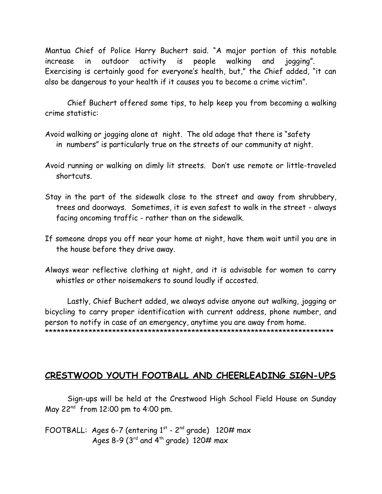Mantua Chief of Police Harry Buchert said. "A major portion of this notable increase in outdoor activity is people walking and jogging". Exercising is certainly good for everyone's health, but," the Chief added, "it can also be dangerous to your health if it causes you to become a crime victim".

Chief Buchert offered some tips, to help keep you from becoming a walking crime statistic:

- Avoid walking or jogging alone at night. The old adage that there is "safety in numbers" is particularly true on the streets of our community at night.
- Avoid running or walking on dimly lit streets. Don't use remote or little-traveled shortcuts.
- Stay in the part of the sidewalk close to the street and away from shrubbery, trees and doorways. Sometimes, it is even safest to walk in the street - always facing oncoming traffic - rather than on the sidewalk.
- If someone drops you off near your home at night, have them wait until you are in the house before they drive away.
- Always wear reflective clothing at night, and it is advisable for women to carry whistles or other noisemakers to sound loudly if accosted.

Lastly, Chief Buchert added, we always advise anyone out walking, jogging or bicycling to carry proper identification with current address, phone number, and person to notify in case of an emergency, anytime you are away from home. \*\*\*\*\*\*\*\*\*\*\*\*\*\*\*\*\*\*\*\*\*\*\*\*\*\*\*\*\*\*\*\*\*\*\*\*\*\*\*\*\*\*\*\*\*\*\*\*\*\*\*\*\*\*\*\*\*\*\*\*\*\*\*\*\*\*\*\*\*\*\*\*\*

# **CRESTWOOD YOUTH FOOTBALL AND CHEERLEADING SIGN-UPS**

Sign-ups will be held at the Crestwood High School Field House on Sunday May  $22^{nd}$  from 12:00 pm to 4:00 pm.

FOOTBALL: Ages 6-7 (entering  $1<sup>st</sup>$  - 2<sup>nd</sup> grade) 120# max Ages 8-9 ( $3^{\text{rd}}$  and  $4^{\text{th}}$  grade) 120# max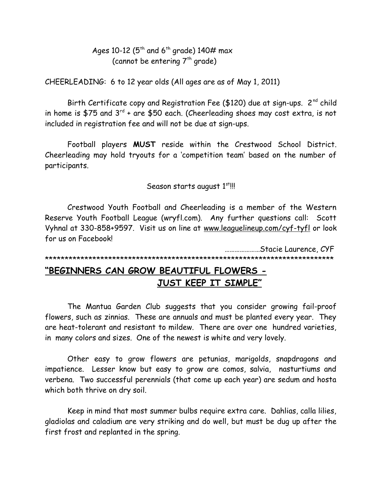Ages 10-12 ( $5<sup>th</sup>$  and  $6<sup>th</sup>$  grade) 140# max (cannot be entering  $7<sup>th</sup>$  grade)

CHEERLEADING: 6 to 12 year olds (All ages are as of May 1, 2011)

Birth Certificate copy and Registration Fee (\$120) due at sign-ups. 2<sup>nd</sup> child in home is \$75 and  $3^{rd}$  + are \$50 each. (Cheerleading shoes may cost extra, is not included in registration fee and will not be due at sign-ups.

Football players MUST reside within the Crestwood School District. Cheerleading may hold tryouts for a 'competition team' based on the number of participants.

Season starts august 1st!!!

Crestwood Youth Football and Cheerleading is a member of the Western Reserve Youth Football League (wryfl.com). Any further questions call: Scott Vyhnal at 330-858+9597. Visit us on line at www.leaguelineup.com/cyf-tyfl or look for us on Facebook!

....................Stacie Laurence, CYF 

# "BEGINNERS CAN GROW BEAUTIFUL FLOWERS -JUST KEEP IT SIMPLE"

The Mantua Garden Club suggests that you consider growing fail-proof flowers, such as zinnias. These are annuals and must be planted every year. They are heat-tolerant and resistant to mildew. There are over one hundred varieties, in many colors and sizes. One of the newest is white and very lovely.

Other easy to grow flowers are petunias, marigolds, snapdragons and impatience. Lesser know but easy to grow are comos, salvia, nasturtiums and verbena. Two successful perennials (that come up each year) are sedum and hosta which both thrive on dry soil.

Keep in mind that most summer bulbs require extra care. Dahlias, calla lilies, gladiolas and caladium are very striking and do well, but must be dug up after the first frost and replanted in the spring.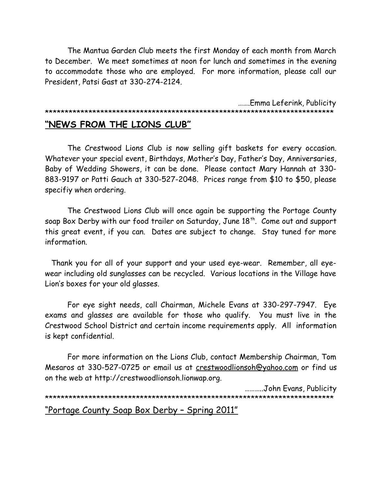The Mantua Garden Club meets the first Monday of each month from March to December. We meet sometimes at noon for lunch and sometimes in the evening to accommodate those who are employed. For more information, please call our President, Patsi Gast at 330-274-2124.

 …….Emma Leferink, Publicity \*\*\*\*\*\*\*\*\*\*\*\*\*\*\*\*\*\*\*\*\*\*\*\*\*\*\*\*\*\*\*\*\*\*\*\*\*\*\*\*\*\*\*\*\*\*\*\*\*\*\*\*\*\*\*\*\*\*\*\*\*\*\*\*\*\*\*\*\*\*\*\*\*

# **"NEWS FROM THE LIONS CLUB"**

The Crestwood Lions Club is now selling gift baskets for every occasion. Whatever your special event, Birthdays, Mother's Day, Father's Day, Anniversaries, Baby of Wedding Showers, it can be done. Please contact Mary Hannah at 330- 883-9197 or Patti Gauch at 330-527-2048. Prices range from \$10 to \$50, please specifiy when ordering.

The Crestwood Lions Club will once again be supporting the Portage County soap Box Derby with our food trailer on Saturday, June 18<sup>th</sup>. Come out and support this great event, if you can. Dates are subject to change. Stay tuned for more information.

 Thank you for all of your support and your used eye-wear. Remember, all eyewear including old sunglasses can be recycled. Various locations in the Village have Lion's boxes for your old glasses.

For eye sight needs, call Chairman, Michele Evans at 330-297-7947. Eye exams and glasses are available for those who qualify. You must live in the Crestwood School District and certain income requirements apply. All information is kept confidential.

For more information on the Lions Club, contact Membership Chairman, Tom Mesaros at 330-527-0725 or email us at [crestwoodlionsoh@yahoo.com](mailto:crestwoodlionsoh@yahoo.com) or find us on the web at http://crestwoodlionsoh.lionwap.org.

 ………..John Evans, Publicity \*\*\*\*\*\*\*\*\*\*\*\*\*\*\*\*\*\*\*\*\*\*\*\*\*\*\*\*\*\*\*\*\*\*\*\*\*\*\*\*\*\*\*\*\*\*\*\*\*\*\*\*\*\*\*\*\*\*\*\*\*\*\*\*\*\*\*\*\*\*\*\*\* "Portage County Soap Box Derby – Spring 2011"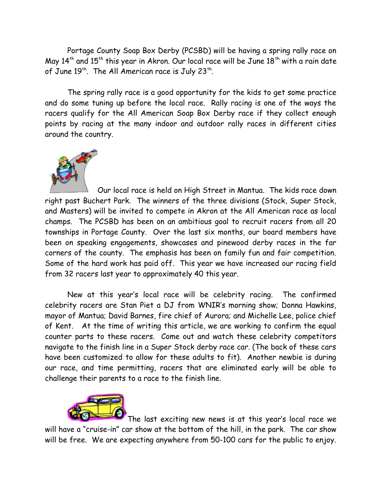Portage County Soap Box Derby (PCSBD) will be having a spring rally race on May  $14<sup>th</sup>$  and  $15<sup>th</sup>$  this year in Akron. Our local race will be June  $18<sup>th</sup>$  with a rain date of June 19th. The All American race is July 23th.

The spring rally race is a good opportunity for the kids to get some practice and do some tuning up before the local race. Rally racing is one of the ways the racers qualify for the All American Soap Box Derby race if they collect enough points by racing at the many indoor and outdoor rally races in different cities around the country.



 Our local race is held on High Street in Mantua. The kids race down right past Buchert Park. The winners of the three divisions (Stock, Super Stock, and Masters) will be invited to compete in Akron at the All American race as local champs. The PCSBD has been on an ambitious goal to recruit racers from all 20 townships in Portage County. Over the last six months, our board members have been on speaking engagements, showcases and pinewood derby races in the far corners of the county. The emphasis has been on family fun and fair competition. Some of the hard work has paid off. This year we have increased our racing field from 32 racers last year to approximately 40 this year.

New at this year's local race will be celebrity racing. The confirmed celebrity racers are Stan Piet a DJ from WNIR's morning show; Donna Hawkins, mayor of Mantua; David Barnes, fire chief of Aurora; and Michelle Lee, police chief of Kent. At the time of writing this article, we are working to confirm the equal counter parts to these racers. Come out and watch these celebrity competitors navigate to the finish line in a Super Stock derby race car. (The back of these cars have been customized to allow for these adults to fit). Another newbie is during our race, and time permitting, racers that are eliminated early will be able to challenge their parents to a race to the finish line.



The last exciting new news is at this year's local race we will have a "cruise-in" car show at the bottom of the hill, in the park. The car show will be free. We are expecting anywhere from 50-100 cars for the public to enjoy.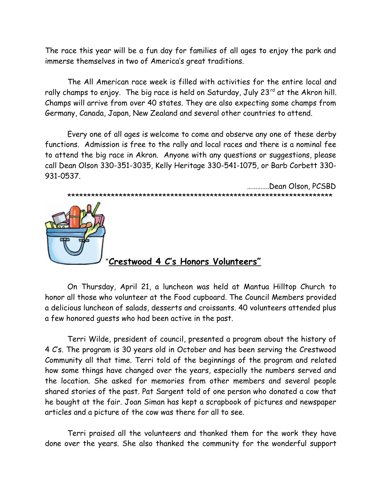The race this year will be a fun day for families of all ages to enjoy the park and immerse themselves in two of America's great traditions.

The All American race week is filled with activities for the entire local and rally champs to enjoy. The big race is held on Saturday, July 23<sup>rd</sup> at the Akron hill. Champs will arrive from over 40 states. They are also expecting some champs from Germany, Canada, Japan, New Zealand and several other countries to attend.

Every one of all ages is welcome to come and observe any one of these derby functions. Admission is free to the rally and local races and there is a nominal fee to attend the big race in Akron. Anyone with any questions or suggestions, please call Dean Olson 330-351-3035, Kelly Heritage 330-541-1075, or Barb Corbett 330- 931-0537.

………….Dean Olson, PCSBD \*\*\*\*\*\*\*\*\*\*\*\*\*\*\*\*\*\*\*\*\*\*\*\*\*\*\*\*\*\*\*\*\*\*\*\*\*\*\*\*\*\*\*\*\*\*\*\*\*\*\*\*\*\*\*\*\*\*\*\*\*\*\*\*\*\*\*



# "**Crestwood 4 C's Honors Volunteers"**

On Thursday, April 21, a luncheon was held at Mantua Hilltop Church to honor all those who volunteer at the Food cupboard. The Council Members provided a delicious luncheon of salads, desserts and croissants. 40 volunteers attended plus a few honored guests who had been active in the past.

Terri Wilde, president of council, presented a program about the history of 4 C's. The program is 30 years old in October and has been serving the Crestwood Community all that time. Terri told of the beginnings of the program and related how some things have changed over the years, especially the numbers served and the location. She asked for memories from other members and several people shared stories of the past. Pat Sargent told of one person who donated a cow that he bought at the fair. Joan Siman has kept a scrapbook of pictures and newspaper articles and a picture of the cow was there for all to see.

Terri praised all the volunteers and thanked them for the work they have done over the years. She also thanked the community for the wonderful support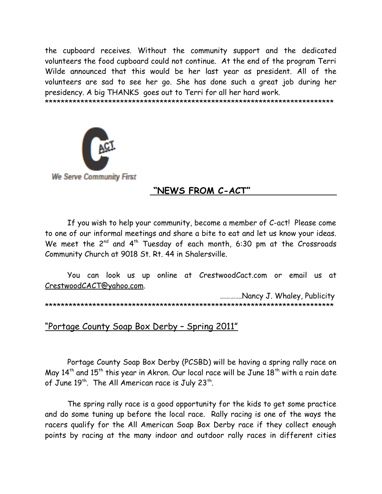the cupboard receives. Without the community support and the dedicated volunteers the food cupboard could not continue. At the end of the program Terri Wilde announced that this would be her last year as president. All of the volunteers are sad to see her go. She has done such a great job during her presidency. A big THANKS goes out to Terri for all her hard work.

\*\*\*\*\*\*\*\*\*\*\*\*\*\*\*\*\*\*\*\*\*\*\*\*\*\*\*\*\*\*\*\*\*\*\*\*\*\*\*\*\*\*\*\*\*\*\*\*\*\*\*\*\*\*\*\*\*\*\*\*\*\*\*\*\*\*\*\*\*\*\*\*\*



**We Serve Community First** 

# **"NEWS FROM C-ACT"**

If you wish to help your community, become a member of C-act! Please come to one of our informal meetings and share a bite to eat and let us know your ideas. We meet the  $2^{nd}$  and  $4^{th}$  Tuesday of each month, 6:30 pm at the Crossroads Community Church at 9018 St. Rt. 44 in Shalersville.

You can look us up online at CrestwoodCact.com or email us at [CrestwoodCACT@yahoo.com.](mailto:CrestwoodCACT@yahoo.com)

 ………….Nancy J. Whaley, Publicity \*\*\*\*\*\*\*\*\*\*\*\*\*\*\*\*\*\*\*\*\*\*\*\*\*\*\*\*\*\*\*\*\*\*\*\*\*\*\*\*\*\*\*\*\*\*\*\*\*\*\*\*\*\*\*\*\*\*\*\*\*\*\*\*\*\*\*\*\*\*\*\*\*

"Portage County Soap Box Derby – Spring 2011"

Portage County Soap Box Derby (PCSBD) will be having a spring rally race on May  $14<sup>th</sup>$  and  $15<sup>th</sup>$  this year in Akron. Our local race will be June  $18<sup>th</sup>$  with a rain date of June 19<sup>th</sup>. The All American race is July 23<sup>th</sup>.

The spring rally race is a good opportunity for the kids to get some practice and do some tuning up before the local race. Rally racing is one of the ways the racers qualify for the All American Soap Box Derby race if they collect enough points by racing at the many indoor and outdoor rally races in different cities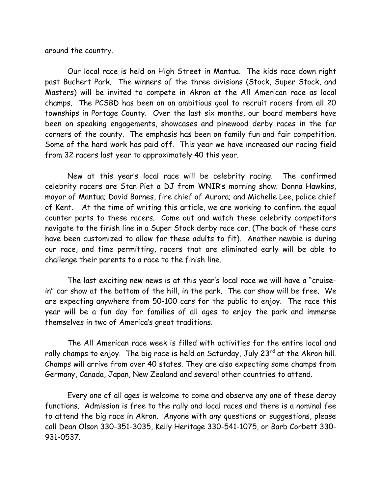around the country.

 Our local race is held on High Street in Mantua. The kids race down right past Buchert Park. The winners of the three divisions (Stock, Super Stock, and Masters) will be invited to compete in Akron at the All American race as local champs. The PCSBD has been on an ambitious goal to recruit racers from all 20 townships in Portage County. Over the last six months, our board members have been on speaking engagements, showcases and pinewood derby races in the far corners of the county. The emphasis has been on family fun and fair competition. Some of the hard work has paid off. This year we have increased our racing field from 32 racers last year to approximately 40 this year.

New at this year's local race will be celebrity racing. The confirmed celebrity racers are Stan Piet a DJ from WNIR's morning show; Donna Hawkins, mayor of Mantua; David Barnes, fire chief of Aurora; and Michelle Lee, police chief of Kent. At the time of writing this article, we are working to confirm the equal counter parts to these racers. Come out and watch these celebrity competitors navigate to the finish line in a Super Stock derby race car. (The back of these cars have been customized to allow for these adults to fit). Another newbie is during our race, and time permitting, racers that are eliminated early will be able to challenge their parents to a race to the finish line.

The last exciting new news is at this year's local race we will have a "cruisein" car show at the bottom of the hill, in the park. The car show will be free. We are expecting anywhere from 50-100 cars for the public to enjoy. The race this year will be a fun day for families of all ages to enjoy the park and immerse themselves in two of America's great traditions.

The All American race week is filled with activities for the entire local and rally champs to enjoy. The big race is held on Saturday, July 23 $^{rd}$  at the Akron hill. Champs will arrive from over 40 states. They are also expecting some champs from Germany, Canada, Japan, New Zealand and several other countries to attend.

Every one of all ages is welcome to come and observe any one of these derby functions. Admission is free to the rally and local races and there is a nominal fee to attend the big race in Akron. Anyone with any questions or suggestions, please call Dean Olson 330-351-3035, Kelly Heritage 330-541-1075, or Barb Corbett 330- 931-0537.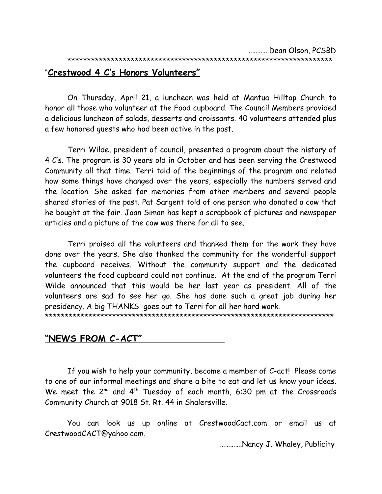#### \*\*\*\*\*\*\*\*\*\*\*\*\*\*\*\*\*\*\*\*\*\*\*\*\*\*\*\*\*\*\*\*\*\*\*\*\*\*\*\*\*\*\*\*\*\*\*\*\*\*\*\*\*\*\*\*\*\*\*\*\*\*\*\*\*\*\*

#### "**Crestwood 4 C's Honors Volunteers"**

On Thursday, April 21, a luncheon was held at Mantua Hilltop Church to honor all those who volunteer at the Food cupboard. The Council Members provided a delicious luncheon of salads, desserts and croissants. 40 volunteers attended plus a few honored guests who had been active in the past.

Terri Wilde, president of council, presented a program about the history of 4 C's. The program is 30 years old in October and has been serving the Crestwood Community all that time. Terri told of the beginnings of the program and related how some things have changed over the years, especially the numbers served and the location. She asked for memories from other members and several people shared stories of the past. Pat Sargent told of one person who donated a cow that he bought at the fair. Joan Siman has kept a scrapbook of pictures and newspaper articles and a picture of the cow was there for all to see.

Terri praised all the volunteers and thanked them for the work they have done over the years. She also thanked the community for the wonderful support the cupboard receives. Without the community support and the dedicated volunteers the food cupboard could not continue. At the end of the program Terri Wilde announced that this would be her last year as president. All of the volunteers are sad to see her go. She has done such a great job during her presidency. A big THANKS goes out to Terri for all her hard work.

\*\*\*\*\*\*\*\*\*\*\*\*\*\*\*\*\*\*\*\*\*\*\*\*\*\*\*\*\*\*\*\*\*\*\*\*\*\*\*\*\*\*\*\*\*\*\*\*\*\*\*\*\*\*\*\*\*\*\*\*\*\*\*\*\*\*\*\*\*\*\*\*\*

#### **"NEWS FROM C-ACT"**

If you wish to help your community, become a member of C-act! Please come to one of our informal meetings and share a bite to eat and let us know your ideas. We meet the  $2^{nd}$  and  $4^{th}$  Tuesday of each month, 6:30 pm at the Crossroads Community Church at 9018 St. Rt. 44 in Shalersville.

You can look us up online at CrestwoodCact.com or email us at [CrestwoodCACT@yahoo.com.](mailto:CrestwoodCACT@yahoo.com)

………….Nancy J. Whaley, Publicity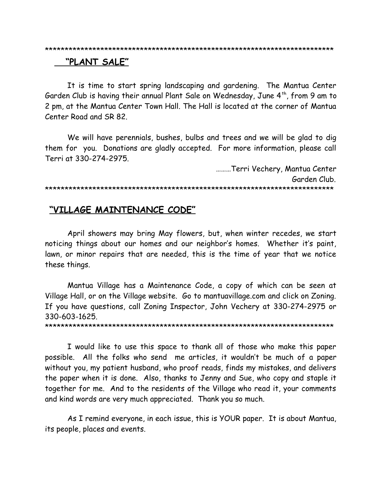#### 

#### "PLANT SALE"

It is time to start spring landscaping and gardening. The Mantua Center Garden Club is having their annual Plant Sale on Wednesday, June 4<sup>th</sup>, from 9 am to 2 pm, at the Mantua Center Town Hall. The Hall is located at the corner of Mantua Center Road and SR 82.

We will have perennials, bushes, bulbs and trees and we will be glad to dig them for you. Donations are gladly accepted. For more information, please call Terri at 330-274-2975.

.........Terri Vechery, Mantua Center Garden Club 

# "VILLAGE MAINTENANCE CODE"

April showers may bring May flowers, but, when winter recedes, we start noticing things about our homes and our neighbor's homes. Whether it's paint, lawn, or minor repairs that are needed, this is the time of year that we notice these things.

Mantua Village has a Maintenance Code, a copy of which can be seen at Village Hall, or on the Village website. Go to mantuavillage.com and click on Zoning. If you have questions, call Zoning Inspector, John Vechery at 330-274-2975 or 330-603-1625.

I would like to use this space to thank all of those who make this paper possible. All the folks who send me articles, it wouldn't be much of a paper without you, my patient husband, who proof reads, finds my mistakes, and delivers the paper when it is done. Also, thanks to Jenny and Sue, who copy and staple it together for me. And to the residents of the Village who read it, your comments and kind words are very much appreciated. Thank you so much.

As I remind everyone, in each issue, this is YOUR paper. It is about Mantua, its people, places and events.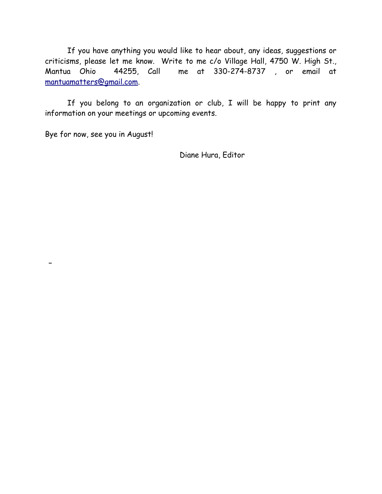If you have anything you would like to hear about, any ideas, suggestions or criticisms, please let me know. Write to me c/o Village Hall, 4750 W. High St., Mantua Ohio 44255, Call me at 330-274-8737 , or email at [mantuamatters@gmail.com.](mailto:mantuamatters@gmail.com)

If you belong to an organization or club, I will be happy to print any information on your meetings or upcoming events.

Bye for now, see you in August!

Diane Hura, Editor